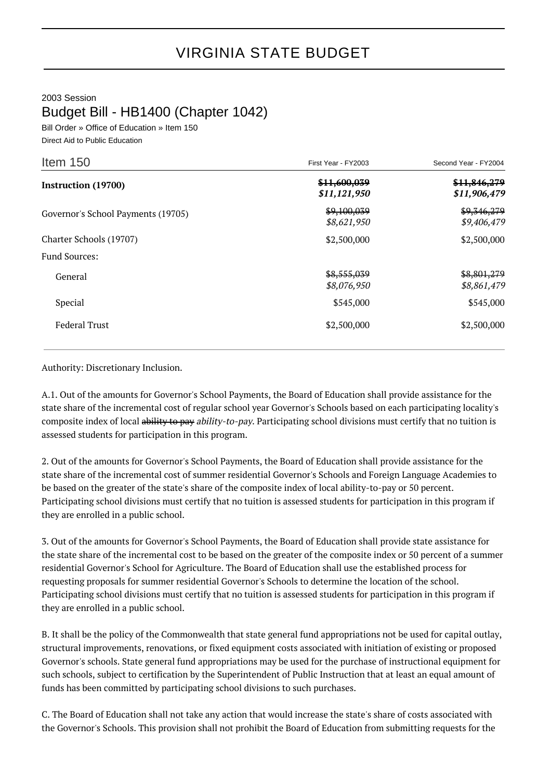## VIRGINIA STATE BUDGET

## 2003 Session Budget Bill - HB1400 (Chapter 1042)

Bill Order » Office of Education » Item 150 Direct Aid to Public Education

| Item 150                           | First Year - FY2003          | Second Year - FY2004         |
|------------------------------------|------------------------------|------------------------------|
| <b>Instruction (19700)</b>         | \$11,600,039<br>\$11,121,950 | \$11,846,279<br>\$11,906,479 |
| Governor's School Payments (19705) | \$9,100,039<br>\$8,621,950   | \$9,346,279<br>\$9,406,479   |
| Charter Schools (19707)            | \$2,500,000                  | \$2,500,000                  |
| <b>Fund Sources:</b>               |                              |                              |
| General                            | \$8,555,039<br>\$8,076,950   | \$8,801,279<br>\$8,861,479   |
| Special                            | \$545,000                    | \$545,000                    |
| <b>Federal Trust</b>               | \$2,500,000                  | \$2,500,000                  |

## Authority: Discretionary Inclusion.

A.1. Out of the amounts for Governor's School Payments, the Board of Education shall provide assistance for the state share of the incremental cost of regular school year Governor's Schools based on each participating locality's composite index of local ability to pay ability-to-pay. Participating school divisions must certify that no tuition is assessed students for participation in this program.

2. Out of the amounts for Governor's School Payments, the Board of Education shall provide assistance for the state share of the incremental cost of summer residential Governor's Schools and Foreign Language Academies to be based on the greater of the state's share of the composite index of local ability-to-pay or 50 percent. Participating school divisions must certify that no tuition is assessed students for participation in this program if they are enrolled in a public school.

3. Out of the amounts for Governor's School Payments, the Board of Education shall provide state assistance for the state share of the incremental cost to be based on the greater of the composite index or 50 percent of a summer residential Governor's School for Agriculture. The Board of Education shall use the established process for requesting proposals for summer residential Governor's Schools to determine the location of the school. Participating school divisions must certify that no tuition is assessed students for participation in this program if they are enrolled in a public school.

B. It shall be the policy of the Commonwealth that state general fund appropriations not be used for capital outlay, structural improvements, renovations, or fixed equipment costs associated with initiation of existing or proposed Governor's schools. State general fund appropriations may be used for the purchase of instructional equipment for such schools, subject to certification by the Superintendent of Public Instruction that at least an equal amount of funds has been committed by participating school divisions to such purchases.

C. The Board of Education shall not take any action that would increase the state's share of costs associated with the Governor's Schools. This provision shall not prohibit the Board of Education from submitting requests for the